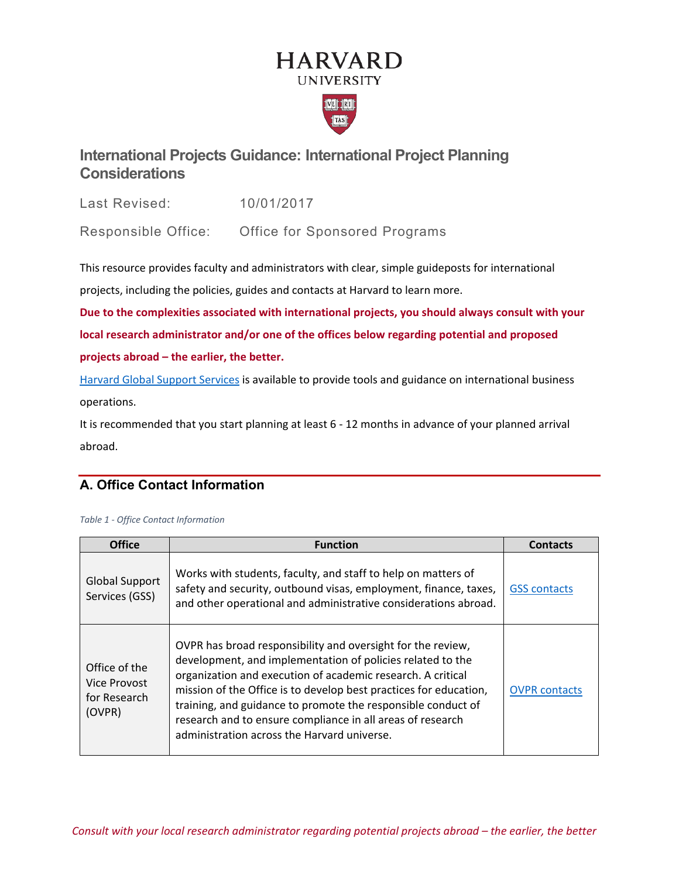# **HARVARD UNIVERSITY**



# **International Projects Guidance: International Project Planning Considerations**

Last Revised: 10/01/2017

Responsible Office: Office for Sponsored Programs

This resource provides faculty and administrators with clear, simple guideposts for international

projects, including the policies, guides and contacts at Harvard to learn more.

**Due to the complexities associated with international projects, you should always consult with your local research administrator and/or one of the offices below regarding potential and proposed projects abroad – the earlier, the better.**

[Harvard Global Support Services](https://www.globalsupport.harvard.edu/) is available to provide tools and guidance on international business operations.

It is recommended that you start planning at least 6 - 12 months in advance of your planned arrival abroad.

# **A. Office Contact Information**

| <b>Office</b>                                           | <b>Function</b>                                                                                                                                                                                                                                                                                                                                                                                                                            | <b>Contacts</b>      |
|---------------------------------------------------------|--------------------------------------------------------------------------------------------------------------------------------------------------------------------------------------------------------------------------------------------------------------------------------------------------------------------------------------------------------------------------------------------------------------------------------------------|----------------------|
| <b>Global Support</b><br>Services (GSS)                 | Works with students, faculty, and staff to help on matters of<br>safety and security, outbound visas, employment, finance, taxes,<br>and other operational and administrative considerations abroad.                                                                                                                                                                                                                                       | <b>GSS contacts</b>  |
| Office of the<br>Vice Provost<br>for Research<br>(OVPR) | OVPR has broad responsibility and oversight for the review,<br>development, and implementation of policies related to the<br>organization and execution of academic research. A critical<br>mission of the Office is to develop best practices for education,<br>training, and guidance to promote the responsible conduct of<br>research and to ensure compliance in all areas of research<br>administration across the Harvard universe. | <b>OVPR</b> contacts |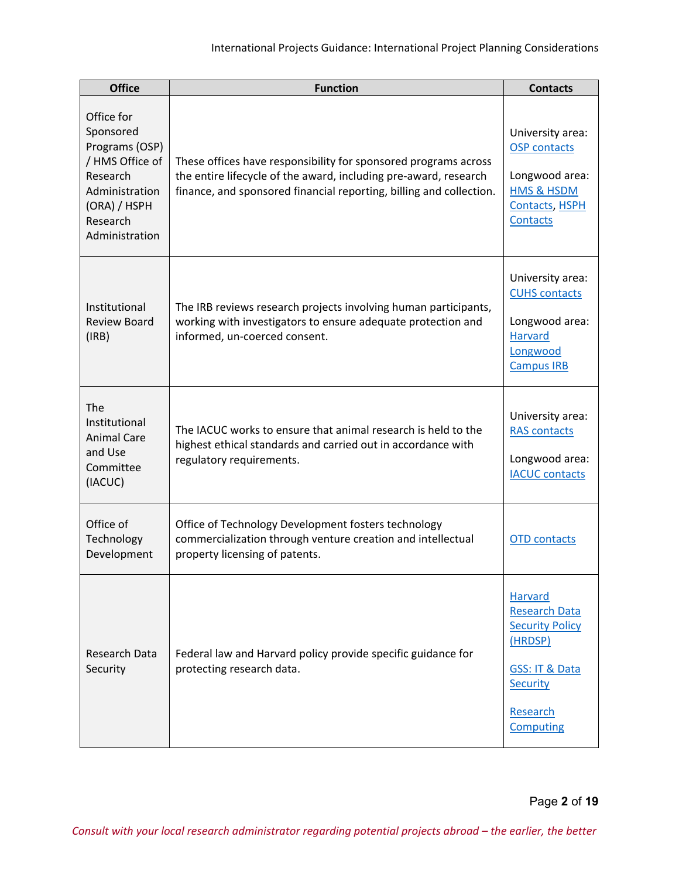| <b>Office</b>                                                                                                                            | <b>Function</b>                                                                                                                                                                                            | <b>Contacts</b>                                                                                                                               |
|------------------------------------------------------------------------------------------------------------------------------------------|------------------------------------------------------------------------------------------------------------------------------------------------------------------------------------------------------------|-----------------------------------------------------------------------------------------------------------------------------------------------|
| Office for<br>Sponsored<br>Programs (OSP)<br>/ HMS Office of<br>Research<br>Administration<br>(ORA) / HSPH<br>Research<br>Administration | These offices have responsibility for sponsored programs across<br>the entire lifecycle of the award, including pre-award, research<br>finance, and sponsored financial reporting, billing and collection. | University area:<br><b>OSP</b> contacts<br>Longwood area:<br><b>HMS &amp; HSDM</b><br>Contacts, HSPH<br><b>Contacts</b>                       |
| Institutional<br><b>Review Board</b><br>(IRB)                                                                                            | The IRB reviews research projects involving human participants,<br>working with investigators to ensure adequate protection and<br>informed, un-coerced consent.                                           | University area:<br><b>CUHS</b> contacts<br>Longwood area:<br><b>Harvard</b><br>Longwood<br><b>Campus IRB</b>                                 |
| The<br>Institutional<br><b>Animal Care</b><br>and Use<br>Committee<br>(IACUC)                                                            | The IACUC works to ensure that animal research is held to the<br>highest ethical standards and carried out in accordance with<br>regulatory requirements.                                                  | University area:<br><b>RAS contacts</b><br>Longwood area:<br><b>IACUC contacts</b>                                                            |
| Office of<br>Technology<br>Development                                                                                                   | Office of Technology Development fosters technology<br>commercialization through venture creation and intellectual<br>property licensing of patents.                                                       | <b>OTD</b> contacts                                                                                                                           |
| Research Data<br>Security                                                                                                                | Federal law and Harvard policy provide specific guidance for<br>protecting research data.                                                                                                                  | Harvard<br><b>Research Data</b><br><b>Security Policy</b><br>(HRDSP)<br><b>GSS: IT &amp; Data</b><br><b>Security</b><br>Research<br>Computing |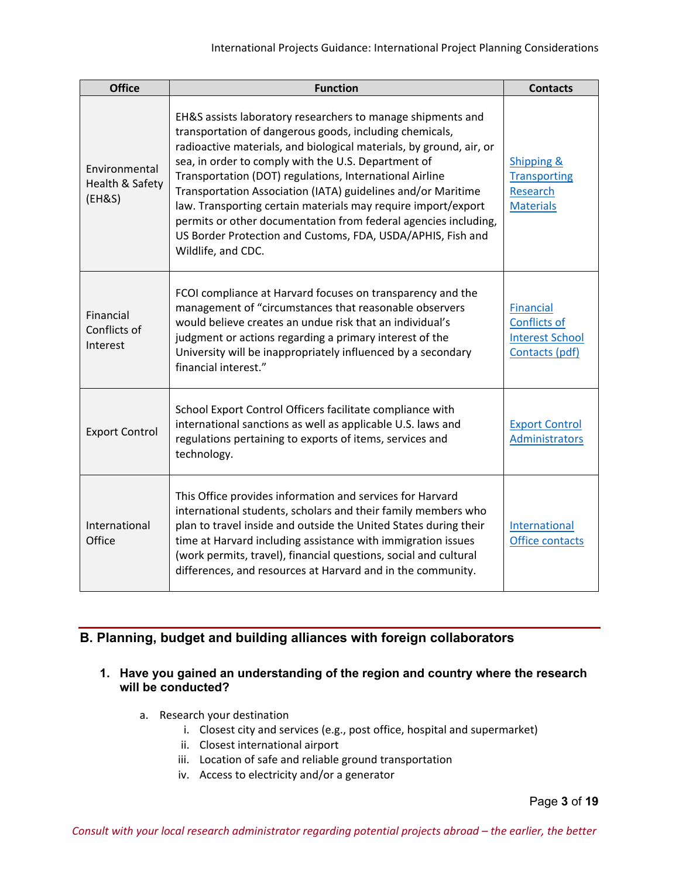| <b>Office</b>                              | <b>Function</b>                                                                                                                                                                                                                                                                                                                                                                                                                                                                                                                                                                                          | <b>Contacts</b>                                                              |
|--------------------------------------------|----------------------------------------------------------------------------------------------------------------------------------------------------------------------------------------------------------------------------------------------------------------------------------------------------------------------------------------------------------------------------------------------------------------------------------------------------------------------------------------------------------------------------------------------------------------------------------------------------------|------------------------------------------------------------------------------|
| Environmental<br>Health & Safety<br>(EH&S) | EH&S assists laboratory researchers to manage shipments and<br>transportation of dangerous goods, including chemicals,<br>radioactive materials, and biological materials, by ground, air, or<br>sea, in order to comply with the U.S. Department of<br>Transportation (DOT) regulations, International Airline<br>Transportation Association (IATA) guidelines and/or Maritime<br>law. Transporting certain materials may require import/export<br>permits or other documentation from federal agencies including,<br>US Border Protection and Customs, FDA, USDA/APHIS, Fish and<br>Wildlife, and CDC. | <b>Shipping &amp;</b><br><b>Transporting</b><br>Research<br><b>Materials</b> |
| Financial<br>Conflicts of<br>Interest      | FCOI compliance at Harvard focuses on transparency and the<br>management of "circumstances that reasonable observers<br>would believe creates an undue risk that an individual's<br>judgment or actions regarding a primary interest of the<br>University will be inappropriately influenced by a secondary<br>financial interest."                                                                                                                                                                                                                                                                      | <b>Financial</b><br>Conflicts of<br><b>Interest School</b><br>Contacts (pdf) |
| <b>Export Control</b>                      | School Export Control Officers facilitate compliance with<br>international sanctions as well as applicable U.S. laws and<br>regulations pertaining to exports of items, services and<br>technology.                                                                                                                                                                                                                                                                                                                                                                                                      | <b>Export Control</b><br>Administrators                                      |
| International<br>Office                    | This Office provides information and services for Harvard<br>international students, scholars and their family members who<br>plan to travel inside and outside the United States during their<br>time at Harvard including assistance with immigration issues<br>(work permits, travel), financial questions, social and cultural<br>differences, and resources at Harvard and in the community.                                                                                                                                                                                                        | International<br>Office contacts                                             |

# **B. Planning, budget and building alliances with foreign collaborators**

# **1. Have you gained an understanding of the region and country where the research will be conducted?**

- a. Research your destination
	- i. Closest city and services (e.g., post office, hospital and supermarket)
	- ii. Closest international airport
	- iii. Location of safe and reliable ground transportation
	- iv. Access to electricity and/or a generator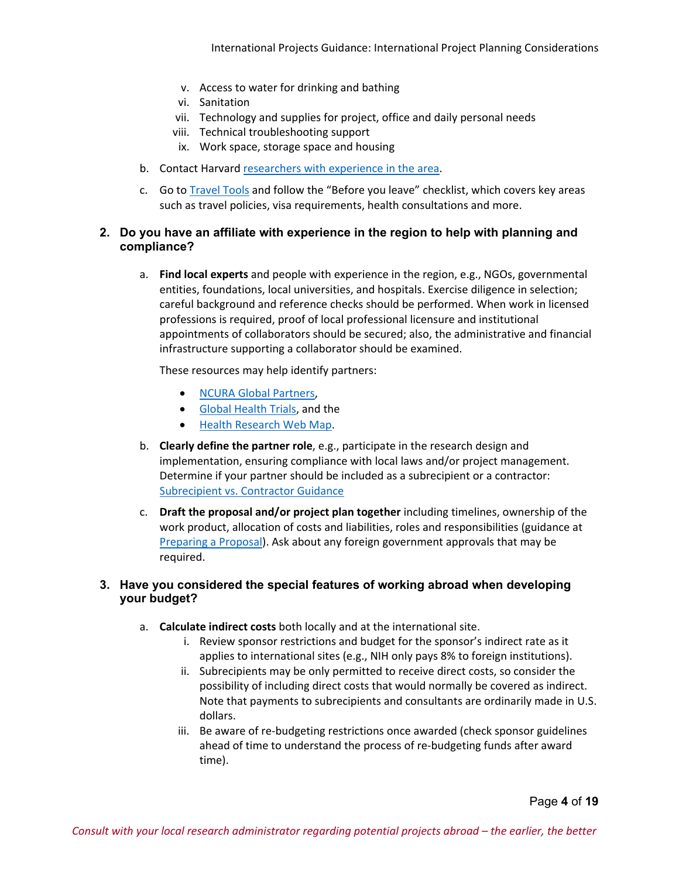- v. Access to water for drinking and bathing
- vi. Sanitation
- vii. Technology and supplies for project, office and daily personal needs
- viii. Technical troubleshooting support
- ix. Work space, storage space and housing
- b. Contact Harvar[d researchers with experience in the area.](https://www.hsph.harvard.edu/world-map/)
- c. Go to [Travel Tools](https://www.globalsupport.harvard.edu/travel-tools/) and follow the "Before you leave" checklist, which covers key areas such as travel policies, visa requirements, health consultations and more.

# **2. Do you have an affiliate with experience in the region to help with planning and compliance?**

a. **Find local experts** and people with experience in the region, e.g., NGOs, governmental entities, foundations, local universities, and hospitals. Exercise diligence in selection; careful background and reference checks should be performed. When work in licensed professions is required, proof of local professional licensure and institutional appointments of collaborators should be secured; also, the administrative and financial infrastructure supporting a collaborator should be examined.

These resources may help identify partners:

- NCURA [Global Partners,](https://www.ncura.edu/GlobalInitiatives/NCURAGlobalPartners.aspx)
- [Global Health Trials,](https://globalhealthtrials.tghn.org/) and the
- [Health Research Web Map.](https://www.healthresearchweb.org/)
- b. **Clearly define the partner role**, e.g., participate in the research design and implementation, ensuring compliance with local laws and/or project management. Determine if your partner should be included as a subrecipient or a contractor: [Subrecipient vs. Contractor Guidance](https://osp.finance.harvard.edu/subrecipient-vs-contractor-guidance)
- c. **Draft the proposal and/or project plan together** including timelines, ownership of the work product, allocation of costs and liabilities, roles and responsibilities (guidance at [Preparing a Proposal\)](https://osp.finance.harvard.edu/preparing-a-proposal). Ask about any foreign government approvals that may be required.

# **3. Have you considered the special features of working abroad when developing your budget?**

- a. **Calculate indirect costs** both locally and at the international site.
	- i. Review sponsor restrictions and budget for the sponsor's indirect rate as it applies to international sites (e.g., NIH only pays 8% to foreign institutions).
	- ii. Subrecipients may be only permitted to receive direct costs, so consider the possibility of including direct costs that would normally be covered as indirect. Note that payments to subrecipients and consultants are ordinarily made in U.S. dollars.
	- iii. Be aware of re-budgeting restrictions once awarded (check sponsor guidelines ahead of time to understand the process of re-budgeting funds after award time).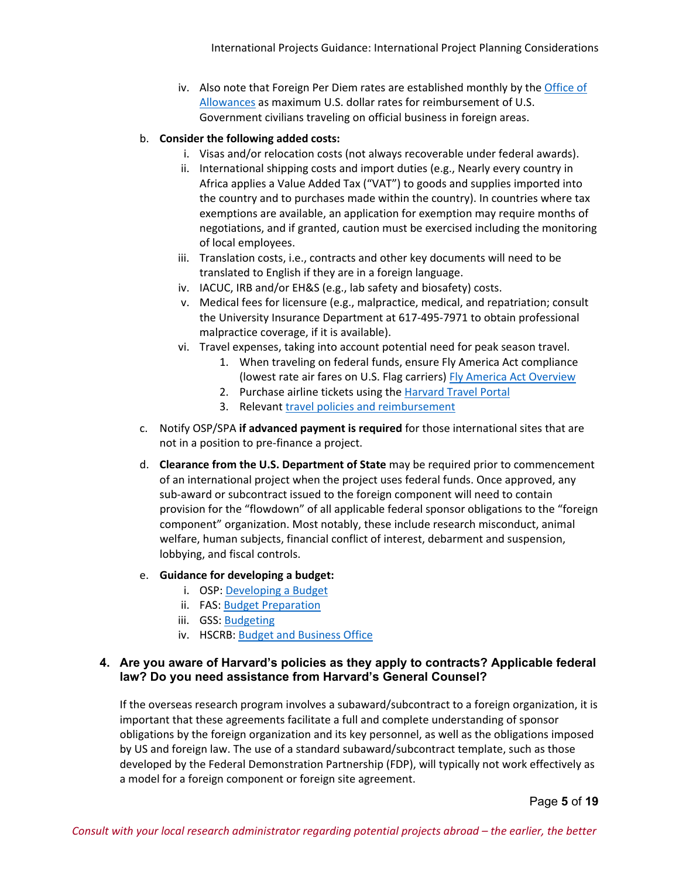iv. Also note that Foreign Per Diem rates are established monthly by the [Office of](https://aoprals.state.gov/)  [Allowances](https://aoprals.state.gov/) as maximum U.S. dollar rates for reimbursement of U.S. Government civilians traveling on official business in foreign areas.

#### b. **Consider the following added costs:**

- i. Visas and/or relocation costs (not always recoverable under federal awards).
- ii. International shipping costs and import duties (e.g., Nearly every country in Africa applies a Value Added Tax ("VAT") to goods and supplies imported into the country and to purchases made within the country). In countries where tax exemptions are available, an application for exemption may require months of negotiations, and if granted, caution must be exercised including the monitoring of local employees.
- iii. Translation costs, i.e., contracts and other key documents will need to be translated to English if they are in a foreign language.
- iv. IACUC, IRB and/or EH&S (e.g., lab safety and biosafety) costs.
- v. Medical fees for licensure (e.g., malpractice, medical, and repatriation; consult the University Insurance Department at 617-495-7971 to obtain professional malpractice coverage, if it is available).
- vi. Travel expenses, taking into account potential need for peak season travel.
	- 1. When traveling on federal funds, ensure Fly America Act compliance (lowest rate air fares on U.S. Flag carriers) [Fly America Act Overview](https://osp.finance.harvard.edu/sponsored-travel-guidance#flyamericaact)
	- 2. Purchase airline tickets using the [Harvard Travel Portal](https://travel.harvard.edu/)
	- 3. Relevan[t travel policies and reimbursement](https://travel.harvard.edu/policies-reimbursement)
- c. Notify OSP/SPA **if advanced payment is required** for those international sites that are not in a position to pre-finance a project.
- d. **Clearance from the U.S. Department of State** may be required prior to commencement of an international project when the project uses federal funds. Once approved, any sub-award or subcontract issued to the foreign component will need to contain provision for the "flowdown" of all applicable federal sponsor obligations to the "foreign component" organization. Most notably, these include research misconduct, animal welfare, human subjects, financial conflict of interest, debarment and suspension, lobbying, and fiscal controls.

#### e. **Guidance for developing a budget:**

- i. OSP: [Developing a Budget](https://osp.finance.harvard.edu/budget)
- ii. FAS: [Budget Preparation](https://research.fas.harvard.edu/budget-preparation)
- iii. GSS: [Budgeting](https://www.globalsupport.harvard.edu/manage-projects/budgeting)
- iv. HSCRB: [Budget and Business Office](https://hscrb.harvard.edu/RESO-budget-business-office)

# **4. Are you aware of Harvard's policies as they apply to contracts? Applicable federal law? Do you need assistance from Harvard's General Counsel?**

If the overseas research program involves a subaward/subcontract to a foreign organization, it is important that these agreements facilitate a full and complete understanding of sponsor obligations by the foreign organization and its key personnel, as well as the obligations imposed by US and foreign law. The use of a standard subaward/subcontract template, such as those developed by the Federal Demonstration Partnership (FDP), will typically not work effectively as a model for a foreign component or foreign site agreement.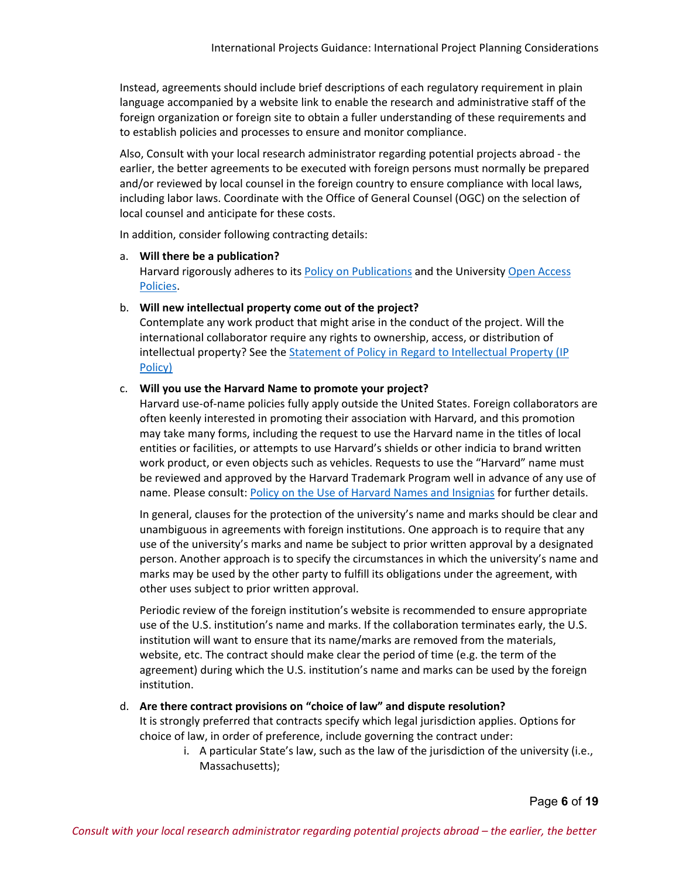Instead, agreements should include brief descriptions of each regulatory requirement in plain language accompanied by a website link to enable the research and administrative staff of the foreign organization or foreign site to obtain a fuller understanding of these requirements and to establish policies and processes to ensure and monitor compliance.

Also, Consult with your local research administrator regarding potential projects abroad - the earlier, the better agreements to be executed with foreign persons must normally be prepared and/or reviewed by local counsel in the foreign country to ensure compliance with local laws, including labor laws. Coordinate with the Office of General Counsel (OGC) on the selection of local counsel and anticipate for these costs.

In addition, consider following contracting details:

#### a. **Will there be a publication?**

Harvard rigorously adheres to it[s Policy on Publications](https://osp.finance.harvard.edu/publications-0) and the University Open Access [Policies.](https://osc.hul.harvard.edu/policies/)

#### b. **Will new intellectual property come out of the project?**

Contemplate any work product that might arise in the conduct of the project. Will the international collaborator require any rights to ownership, access, or distribution of intellectual property? See the [Statement of Policy in Regard to Intellectual Property \(IP](https://otd.harvard.edu/faculty-inventors/resources/policies-and-procedures/statement-of-policy-in-regard-to-intellectual-property/)  [Policy\)](https://otd.harvard.edu/faculty-inventors/resources/policies-and-procedures/statement-of-policy-in-regard-to-intellectual-property/)

#### c. **Will you use the Harvard Name to promote your project?**

Harvard use-of-name policies fully apply outside the United States. Foreign collaborators are often keenly interested in promoting their association with Harvard, and this promotion may take many forms, including the request to use the Harvard name in the titles of local entities or facilities, or attempts to use Harvard's shields or other indicia to brand written work product, or even objects such as vehicles. Requests to use the "Harvard" name must be reviewed and approved by the Harvard Trademark Program well in advance of any use of name. Please consult: [Policy on the Use of Harvard Names and Insignias](https://trademark.harvard.edu/policy-on-use-of-harvard-names-and-insignias) for further details.

In general, clauses for the protection of the university's name and marks should be clear and unambiguous in agreements with foreign institutions. One approach is to require that any use of the university's marks and name be subject to prior written approval by a designated person. Another approach is to specify the circumstances in which the university's name and marks may be used by the other party to fulfill its obligations under the agreement, with other uses subject to prior written approval.

Periodic review of the foreign institution's website is recommended to ensure appropriate use of the U.S. institution's name and marks. If the collaboration terminates early, the U.S. institution will want to ensure that its name/marks are removed from the materials, website, etc. The contract should make clear the period of time (e.g. the term of the agreement) during which the U.S. institution's name and marks can be used by the foreign institution.

# d. **Are there contract provisions on "choice of law" and dispute resolution?**

It is strongly preferred that contracts specify which legal jurisdiction applies. Options for choice of law, in order of preference, include governing the contract under:

i. A particular State's law, such as the law of the jurisdiction of the university (i.e., Massachusetts);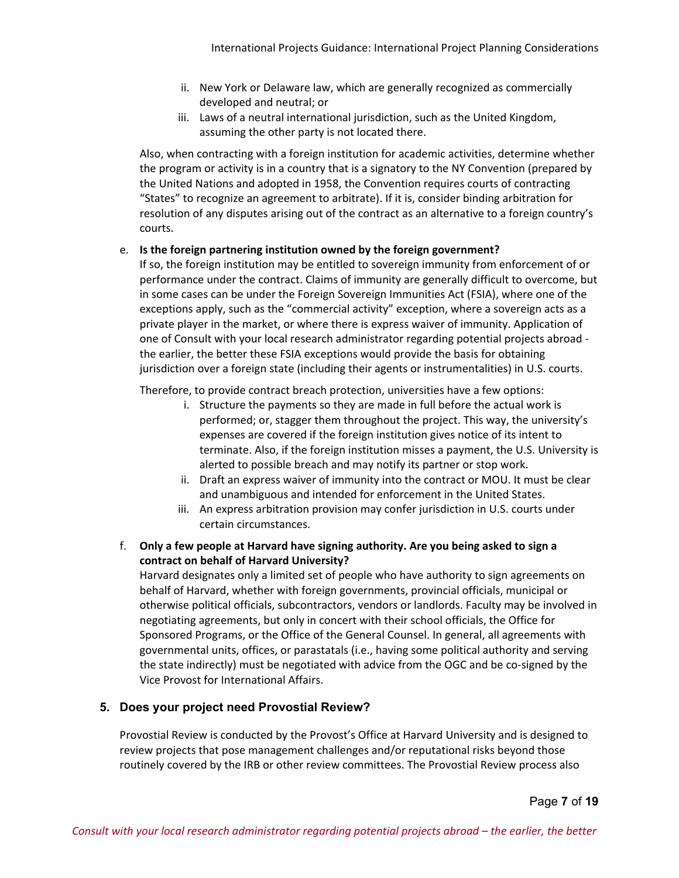- ii. New York or Delaware law, which are generally recognized as commercially developed and neutral; or
- iii. Laws of a neutral international jurisdiction, such as the United Kingdom, assuming the other party is not located there.

Also, when contracting with a foreign institution for academic activities, determine whether the program or activity is in a country that is a signatory to the NY Convention (prepared by the United Nations and adopted in 1958, the Convention requires courts of contracting "States" to recognize an agreement to arbitrate). If it is, consider binding arbitration for resolution of any disputes arising out of the contract as an alternative to a foreign country's courts.

#### e. **Is the foreign partnering institution owned by the foreign government?**

If so, the foreign institution may be entitled to sovereign immunity from enforcement of or performance under the contract. Claims of immunity are generally difficult to overcome, but in some cases can be under the Foreign Sovereign Immunities Act (FSIA), where one of the exceptions apply, such as the "commercial activity" exception, where a sovereign acts as a private player in the market, or where there is express waiver of immunity. Application of one of Consult with your local research administrator regarding potential projects abroad the earlier, the better these FSIA exceptions would provide the basis for obtaining jurisdiction over a foreign state (including their agents or instrumentalities) in U.S. courts.

Therefore, to provide contract breach protection, universities have a few options:

- i. Structure the payments so they are made in full before the actual work is performed; or, stagger them throughout the project. This way, the university's expenses are covered if the foreign institution gives notice of its intent to terminate. Also, if the foreign institution misses a payment, the U.S. University is alerted to possible breach and may notify its partner or stop work.
- ii. Draft an express waiver of immunity into the contract or MOU. It must be clear and unambiguous and intended for enforcement in the United States.
- iii. An express arbitration provision may confer jurisdiction in U.S. courts under certain circumstances.
- f. **Only a few people at Harvard have signing authority. Are you being asked to sign a contract on behalf of Harvard University?**

Harvard designates only a limited set of people who have authority to sign agreements on behalf of Harvard, whether with foreign governments, provincial officials, municipal or otherwise political officials, subcontractors, vendors or landlords. Faculty may be involved in negotiating agreements, but only in concert with their school officials, the Office for Sponsored Programs, or the Office of the General Counsel. In general, all agreements with governmental units, offices, or parastatals (i.e., having some political authority and serving the state indirectly) must be negotiated with advice from the OGC and be co-signed by the Vice Provost for International Affairs.

# **5. Does your project need Provostial Review?**

Provostial Review is conducted by the Provost's Office at Harvard University and is designed to review projects that pose management challenges and/or reputational risks beyond those routinely covered by the IRB or other review committees. The Provostial Review process also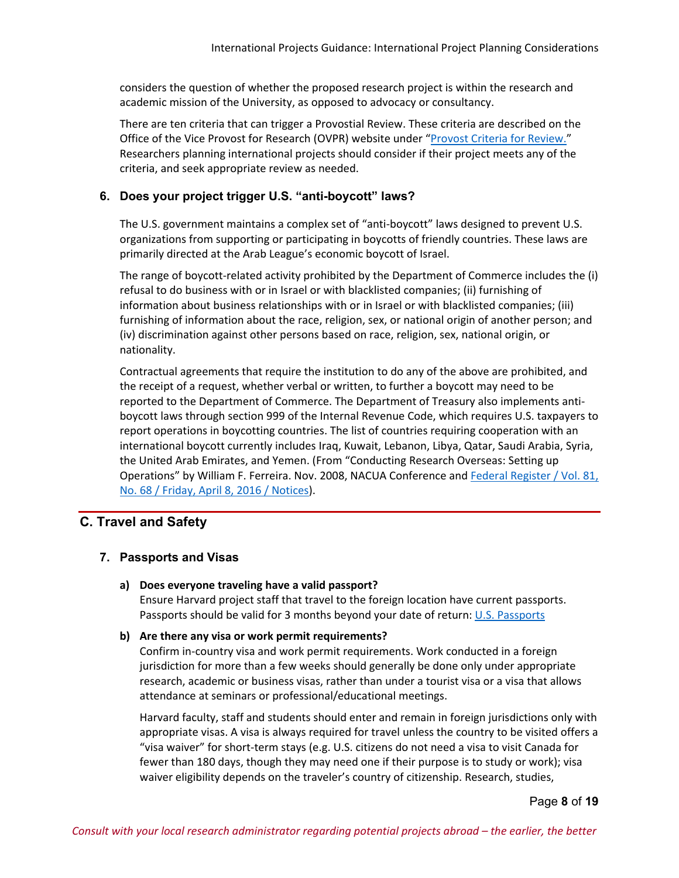considers the question of whether the proposed research project is within the research and academic mission of the University, as opposed to advocacy or consultancy.

There are ten criteria that can trigger a Provostial Review. These criteria are described on the Office of the Vice Provost for Research (OVPR) website under ["Provost Criteria for Review.](https://research.harvard.edu/2021/02/17/provost-criteria-for-review/)" Researchers planning international projects should consider if their project meets any of the criteria, and seek appropriate review as needed.

#### **6. Does your project trigger U.S. "anti-boycott" laws?**

The U.S. government maintains a complex set of "anti-boycott" laws designed to prevent U.S. organizations from supporting or participating in boycotts of friendly countries. These laws are primarily directed at the Arab League's economic boycott of Israel.

The range of boycott-related activity prohibited by the Department of Commerce includes the (i) refusal to do business with or in Israel or with blacklisted companies; (ii) furnishing of information about business relationships with or in Israel or with blacklisted companies; (iii) furnishing of information about the race, religion, sex, or national origin of another person; and (iv) discrimination against other persons based on race, religion, sex, national origin, or nationality.

Contractual agreements that require the institution to do any of the above are prohibited, and the receipt of a request, whether verbal or written, to further a boycott may need to be reported to the Department of Commerce. The Department of Treasury also implements antiboycott laws through section 999 of the Internal Revenue Code, which requires U.S. taxpayers to report operations in boycotting countries. The list of countries requiring cooperation with an international boycott currently includes Iraq, Kuwait, Lebanon, Libya, Qatar, Saudi Arabia, Syria, the United Arab Emirates, and Yemen. (From "Conducting Research Overseas: Setting up Operations" by William F. Ferreira. Nov. 2008, NACUA Conference an[d Federal Register / Vol. 81,](https://www.gpo.gov/fdsys/pkg/FR-2016-04-08/pdf/2016-08127.pdf)  [No. 68 / Friday, April 8, 2016 / Notices\)](https://www.gpo.gov/fdsys/pkg/FR-2016-04-08/pdf/2016-08127.pdf).

# **C. Travel and Safety**

#### **7. Passports and Visas**

#### **a) Does everyone traveling have a valid passport?**

Ensure Harvard project staff that travel to the foreign location have current passports. Passports should be valid for 3 months beyond your date of return: [U.S. Passports](https://travel.state.gov/content/passports/en/passports.html)

#### **b) Are there any visa or work permit requirements?**

Confirm in-country visa and work permit requirements. Work conducted in a foreign jurisdiction for more than a few weeks should generally be done only under appropriate research, academic or business visas, rather than under a tourist visa or a visa that allows attendance at seminars or professional/educational meetings.

Harvard faculty, staff and students should enter and remain in foreign jurisdictions only with appropriate visas. A visa is always required for travel unless the country to be visited offers a "visa waiver" for short-term stays (e.g. U.S. citizens do not need a visa to visit Canada for fewer than 180 days, though they may need one if their purpose is to study or work); visa waiver eligibility depends on the traveler's country of citizenship. Research, studies,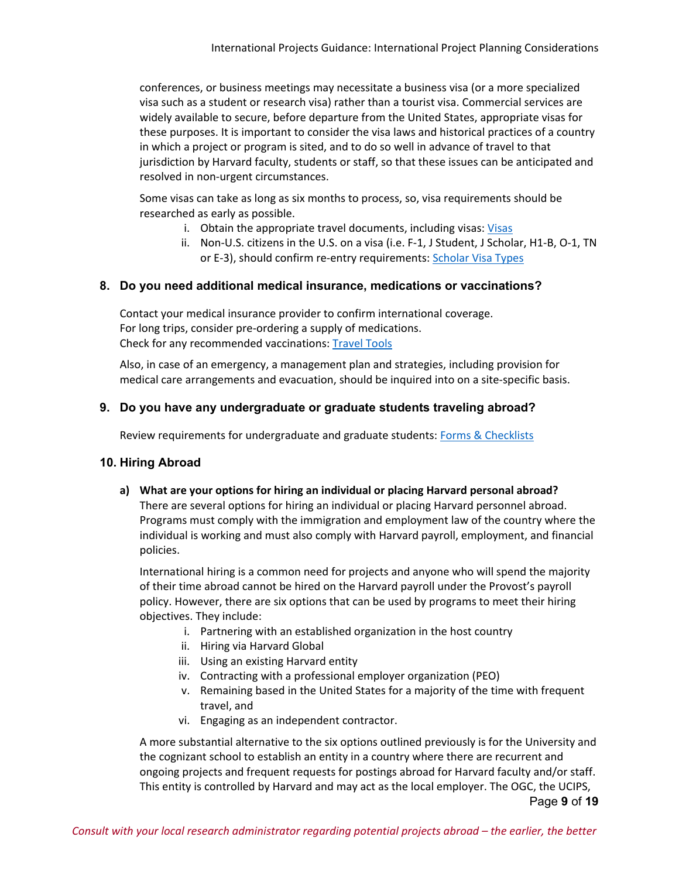conferences, or business meetings may necessitate a business visa (or a more specialized visa such as a student or research visa) rather than a tourist visa. Commercial services are widely available to secure, before departure from the United States, appropriate visas for these purposes. It is important to consider the visa laws and historical practices of a country in which a project or program is sited, and to do so well in advance of travel to that jurisdiction by Harvard faculty, students or staff, so that these issues can be anticipated and resolved in non-urgent circumstances.

Some visas can take as long as six months to process, so, visa requirements should be researched as early as possible.

- i. Obtain the appropriate travel documents, including visas: [Visas](https://www.globalsupport.harvard.edu/travel/pre-departure-support/visas)
- ii. Non-U.S. citizens in the U.S. on a visa (i.e. F-1, J Student, J Scholar, H1-B, O-1, TN or E-3), should confirm re-entry requirements: [Scholar Visa Types](https://www.hio.harvard.edu/visa-types)

# **8. Do you need additional medical insurance, medications or vaccinations?**

Contact your medical insurance provider to confirm international coverage. For long trips, consider pre-ordering a supply of medications. Check for any recommended vaccinations: [Travel Tools](https://www.globalsupport.harvard.edu/travel-tools)

Also, in case of an emergency, a management plan and strategies, including provision for medical care arrangements and evacuation, should be inquired into on a site-specific basis.

# **9. Do you have any undergraduate or graduate students traveling abroad?**

Review requirements for undergraduate and graduate students: [Forms & Checklists](https://www.globalsupport.harvard.edu/travel/pre-departure-support/forms-checklists)

# **10. Hiring Abroad**

**a) What are your options for hiring an individual or placing Harvard personal abroad?** There are several options for hiring an individual or placing Harvard personnel abroad. Programs must comply with the immigration and employment law of the country where the individual is working and must also comply with Harvard payroll, employment, and financial policies.

International hiring is a common need for projects and anyone who will spend the majority of their time abroad cannot be hired on the Harvard payroll under the Provost's payroll policy. However, there are six options that can be used by programs to meet their hiring objectives. They include:

- i. Partnering with an established organization in the host country
- ii. Hiring via Harvard Global
- iii. Using an existing Harvard entity
- iv. Contracting with a professional employer organization (PEO)
- v. Remaining based in the United States for a majority of the time with frequent travel, and
- vi. Engaging as an independent contractor.

Page **9** of **19** A more substantial alternative to the six options outlined previously is for the University and the cognizant school to establish an entity in a country where there are recurrent and ongoing projects and frequent requests for postings abroad for Harvard faculty and/or staff. This entity is controlled by Harvard and may act as the local employer. The OGC, the UCIPS,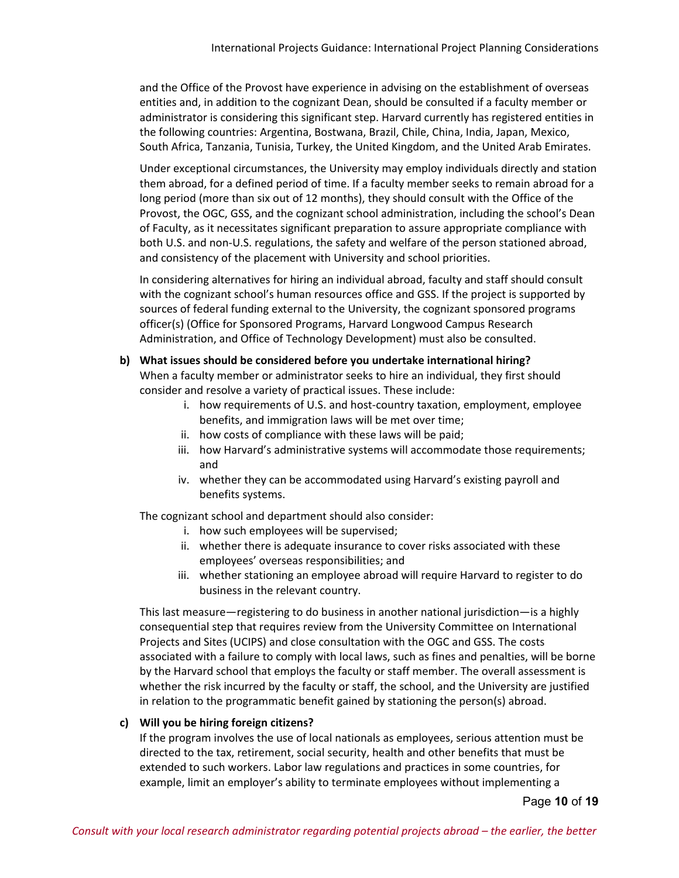and the Office of the Provost have experience in advising on the establishment of overseas entities and, in addition to the cognizant Dean, should be consulted if a faculty member or administrator is considering this significant step. Harvard currently has registered entities in the following countries: Argentina, Bostwana, Brazil, Chile, China, India, Japan, Mexico, South Africa, Tanzania, Tunisia, Turkey, the United Kingdom, and the United Arab Emirates.

Under exceptional circumstances, the University may employ individuals directly and station them abroad, for a defined period of time. If a faculty member seeks to remain abroad for a long period (more than six out of 12 months), they should consult with the Office of the Provost, the OGC, GSS, and the cognizant school administration, including the school's Dean of Faculty, as it necessitates significant preparation to assure appropriate compliance with both U.S. and non-U.S. regulations, the safety and welfare of the person stationed abroad, and consistency of the placement with University and school priorities.

In considering alternatives for hiring an individual abroad, faculty and staff should consult with the cognizant school's human resources office and GSS. If the project is supported by sources of federal funding external to the University, the cognizant sponsored programs officer(s) (Office for Sponsored Programs, Harvard Longwood Campus Research Administration, and Office of Technology Development) must also be consulted.

#### **b) What issues should be considered before you undertake international hiring?**

When a faculty member or administrator seeks to hire an individual, they first should consider and resolve a variety of practical issues. These include:

- i. how requirements of U.S. and host-country taxation, employment, employee benefits, and immigration laws will be met over time;
- ii. how costs of compliance with these laws will be paid;
- iii. how Harvard's administrative systems will accommodate those requirements; and
- iv. whether they can be accommodated using Harvard's existing payroll and benefits systems.

The cognizant school and department should also consider:

- i. how such employees will be supervised;
- ii. whether there is adequate insurance to cover risks associated with these employees' overseas responsibilities; and
- iii. whether stationing an employee abroad will require Harvard to register to do business in the relevant country.

This last measure—registering to do business in another national jurisdiction—is a highly consequential step that requires review from the University Committee on International Projects and Sites (UCIPS) and close consultation with the OGC and GSS. The costs associated with a failure to comply with local laws, such as fines and penalties, will be borne by the Harvard school that employs the faculty or staff member. The overall assessment is whether the risk incurred by the faculty or staff, the school, and the University are justified in relation to the programmatic benefit gained by stationing the person(s) abroad.

#### **c) Will you be hiring foreign citizens?**

If the program involves the use of local nationals as employees, serious attention must be directed to the tax, retirement, social security, health and other benefits that must be extended to such workers. Labor law regulations and practices in some countries, for example, limit an employer's ability to terminate employees without implementing a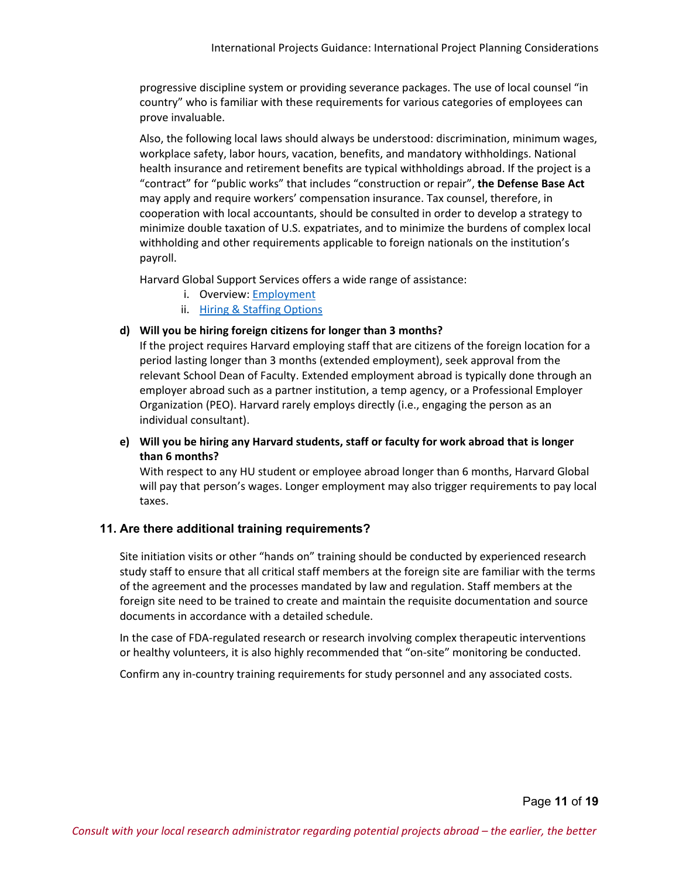progressive discipline system or providing severance packages. The use of local counsel "in country" who is familiar with these requirements for various categories of employees can prove invaluable.

Also, the following local laws should always be understood: discrimination, minimum wages, workplace safety, labor hours, vacation, benefits, and mandatory withholdings. National health insurance and retirement benefits are typical withholdings abroad. If the project is a "contract" for "public works" that includes "construction or repair", **the Defense Base Act** may apply and require workers' compensation insurance. Tax counsel, therefore, in cooperation with local accountants, should be consulted in order to develop a strategy to minimize double taxation of U.S. expatriates, and to minimize the burdens of complex local withholding and other requirements applicable to foreign nationals on the institution's payroll.

Harvard Global Support Services offers a wide range of assistance:

- i. Overview: [Employment](https://www.globalsupport.harvard.edu/plan/employment)
- ii. [Hiring & Staffing Options](https://www.globalsupport.harvard.edu/plan/employment/hiring-staffing)

#### **d) Will you be hiring foreign citizens for longer than 3 months?**

If the project requires Harvard employing staff that are citizens of the foreign location for a period lasting longer than 3 months (extended employment), seek approval from the relevant School Dean of Faculty. Extended employment abroad is typically done through an employer abroad such as a partner institution, a temp agency, or a Professional Employer Organization (PEO). Harvard rarely employs directly (i.e., engaging the person as an individual consultant).

#### **e) Will you be hiring any Harvard students, staff or faculty for work abroad that is longer than 6 months?**

With respect to any HU student or employee abroad longer than 6 months, Harvard Global will pay that person's wages. Longer employment may also trigger requirements to pay local taxes.

# **11. Are there additional training requirements?**

Site initiation visits or other "hands on" training should be conducted by experienced research study staff to ensure that all critical staff members at the foreign site are familiar with the terms of the agreement and the processes mandated by law and regulation. Staff members at the foreign site need to be trained to create and maintain the requisite documentation and source documents in accordance with a detailed schedule.

In the case of FDA-regulated research or research involving complex therapeutic interventions or healthy volunteers, it is also highly recommended that "on-site" monitoring be conducted.

Confirm any in-country training requirements for study personnel and any associated costs.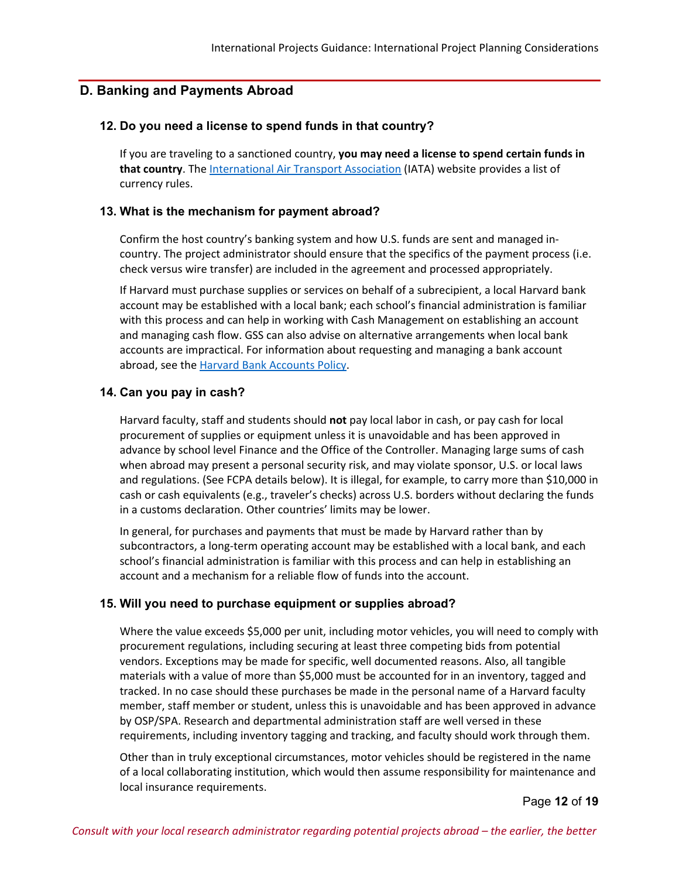# **D. Banking and Payments Abroad**

#### **12. Do you need a license to spend funds in that country?**

If you are traveling to a sanctioned country, **you may need a license to spend certain funds in that country**. The [International Air Transport Association](https://www.iata.org/) (IATA) website provides a list of currency rules.

#### **13. What is the mechanism for payment abroad?**

Confirm the host country's banking system and how U.S. funds are sent and managed incountry. The project administrator should ensure that the specifics of the payment process (i.e. check versus wire transfer) are included in the agreement and processed appropriately.

If Harvard must purchase supplies or services on behalf of a subrecipient, a local Harvard bank account may be established with a local bank; each school's financial administration is familiar with this process and can help in working with Cash Management on establishing an account and managing cash flow. GSS can also advise on alternative arrangements when local bank accounts are impractical. For information about requesting and managing a bank account abroad, see the [Harvard Bank Accounts Policy.](https://policies.fad.harvard.edu/pages/bank-accounts)

# **14. Can you pay in cash?**

Harvard faculty, staff and students should **not** pay local labor in cash, or pay cash for local procurement of supplies or equipment unless it is unavoidable and has been approved in advance by school level Finance and the Office of the Controller. Managing large sums of cash when abroad may present a personal security risk, and may violate sponsor, U.S. or local laws and regulations. (See FCPA details below). It is illegal, for example, to carry more than \$10,000 in cash or cash equivalents (e.g., traveler's checks) across U.S. borders without declaring the funds in a customs declaration. Other countries' limits may be lower.

In general, for purchases and payments that must be made by Harvard rather than by subcontractors, a long-term operating account may be established with a local bank, and each school's financial administration is familiar with this process and can help in establishing an account and a mechanism for a reliable flow of funds into the account.

#### **15. Will you need to purchase equipment or supplies abroad?**

Where the value exceeds \$5,000 per unit, including motor vehicles, you will need to comply with procurement regulations, including securing at least three competing bids from potential vendors. Exceptions may be made for specific, well documented reasons. Also, all tangible materials with a value of more than \$5,000 must be accounted for in an inventory, tagged and tracked. In no case should these purchases be made in the personal name of a Harvard faculty member, staff member or student, unless this is unavoidable and has been approved in advance by OSP/SPA. Research and departmental administration staff are well versed in these requirements, including inventory tagging and tracking, and faculty should work through them.

Other than in truly exceptional circumstances, motor vehicles should be registered in the name of a local collaborating institution, which would then assume responsibility for maintenance and local insurance requirements.

Page **12** of **19**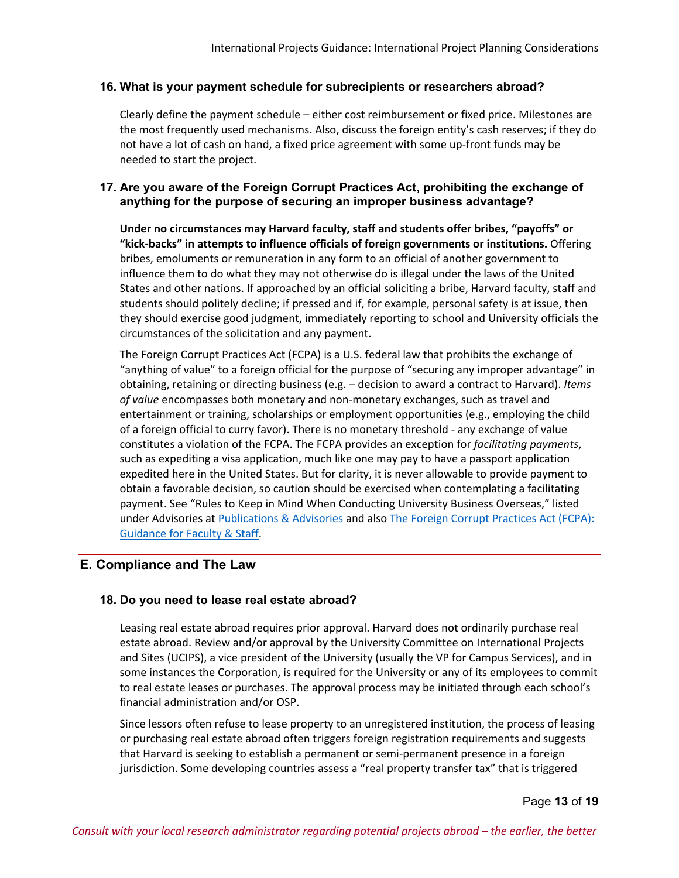# **16. What is your payment schedule for subrecipients or researchers abroad?**

Clearly define the payment schedule – either cost reimbursement or fixed price. Milestones are the most frequently used mechanisms. Also, discuss the foreign entity's cash reserves; if they do not have a lot of cash on hand, a fixed price agreement with some up-front funds may be needed to start the project.

# **17. Are you aware of the Foreign Corrupt Practices Act, prohibiting the exchange of anything for the purpose of securing an improper business advantage?**

**Under no circumstances may Harvard faculty, staff and students offer bribes, "payoffs" or "kick-backs" in attempts to influence officials of foreign governments or institutions.** Offering bribes, emoluments or remuneration in any form to an official of another government to influence them to do what they may not otherwise do is illegal under the laws of the United States and other nations. If approached by an official soliciting a bribe, Harvard faculty, staff and students should politely decline; if pressed and if, for example, personal safety is at issue, then they should exercise good judgment, immediately reporting to school and University officials the circumstances of the solicitation and any payment.

The Foreign Corrupt Practices Act (FCPA) is a U.S. federal law that prohibits the exchange of "anything of value" to a foreign official for the purpose of "securing any improper advantage" in obtaining, retaining or directing business (e.g. – decision to award a contract to Harvard). *Items of value* encompasses both monetary and non-monetary exchanges, such as travel and entertainment or training, scholarships or employment opportunities (e.g., employing the child of a foreign official to curry favor). There is no monetary threshold - any exchange of value constitutes a violation of the FCPA. The FCPA provides an exception for *facilitating payments*, such as expediting a visa application, much like one may pay to have a passport application expedited here in the United States. But for clarity, it is never allowable to provide payment to obtain a favorable decision, so caution should be exercised when contemplating a facilitating payment. See "Rules to Keep in Mind When Conducting University Business Overseas," listed under Advisories at [Publications & Advisories](https://ogc.harvard.edu/pages/publications) and also [The Foreign Corrupt Practices Act \(FCPA\):](https://ari.hms.harvard.edu/sites/g/files/mcu761/files/FCPA%20final%207%2015%2016updated%2011%2027%2018.pdf)  [Guidance for Faculty & Staff.](https://ari.hms.harvard.edu/sites/g/files/mcu761/files/FCPA%20final%207%2015%2016updated%2011%2027%2018.pdf)

# **E. Compliance and The Law**

# **18. Do you need to lease real estate abroad?**

Leasing real estate abroad requires prior approval. Harvard does not ordinarily purchase real estate abroad. Review and/or approval by the University Committee on International Projects and Sites (UCIPS), a vice president of the University (usually the VP for Campus Services), and in some instances the Corporation, is required for the University or any of its employees to commit to real estate leases or purchases. The approval process may be initiated through each school's financial administration and/or OSP.

Since lessors often refuse to lease property to an unregistered institution, the process of leasing or purchasing real estate abroad often triggers foreign registration requirements and suggests that Harvard is seeking to establish a permanent or semi-permanent presence in a foreign jurisdiction. Some developing countries assess a "real property transfer tax" that is triggered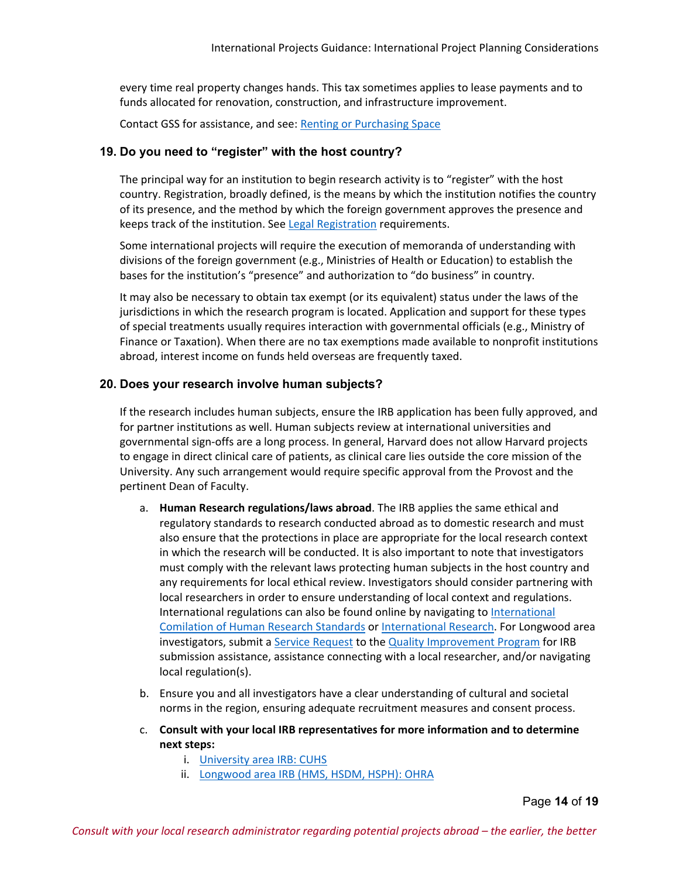every time real property changes hands. This tax sometimes applies to lease payments and to funds allocated for renovation, construction, and infrastructure improvement.

Contact GSS for assistance, and see: [Renting or Purchasing Space](https://www.globalsupport.harvard.edu/manage-projects/renting-or-purchasing-space)

#### **19. Do you need to "register" with the host country?**

The principal way for an institution to begin research activity is to "register" with the host country. Registration, broadly defined, is the means by which the institution notifies the country of its presence, and the method by which the foreign government approves the presence and keeps track of the institution. See [Legal Registration](https://www.globalsupport.harvard.edu/manage-projects/legal-registration) requirements.

Some international projects will require the execution of memoranda of understanding with divisions of the foreign government (e.g., Ministries of Health or Education) to establish the bases for the institution's "presence" and authorization to "do business" in country.

It may also be necessary to obtain tax exempt (or its equivalent) status under the laws of the jurisdictions in which the research program is located. Application and support for these types of special treatments usually requires interaction with governmental officials (e.g., Ministry of Finance or Taxation). When there are no tax exemptions made available to nonprofit institutions abroad, interest income on funds held overseas are frequently taxed.

#### **20. Does your research involve human subjects?**

If the research includes human subjects, ensure the IRB application has been fully approved, and for partner institutions as well. Human subjects review at international universities and governmental sign-offs are a long process. In general, Harvard does not allow Harvard projects to engage in direct clinical care of patients, as clinical care lies outside the core mission of the University. Any such arrangement would require specific approval from the Provost and the pertinent Dean of Faculty.

- a. **Human Research regulations/laws abroad**. The IRB applies the same ethical and regulatory standards to research conducted abroad as to domestic research and must also ensure that the protections in place are appropriate for the local research context in which the research will be conducted. It is also important to note that investigators must comply with the relevant laws protecting human subjects in the host country and any requirements for local ethical review. Investigators should consider partnering with local researchers in order to ensure understanding of local context and regulations. International regulations can also be found online by navigating to [International](https://www.hhs.gov/ohrp/international/compilation-human-research-standards/)  [Comilation of Human Research Standards](https://www.hhs.gov/ohrp/international/compilation-human-research-standards/) or [International Research.](https://catalyst.harvard.edu/programs/regulatory/internationalresearch.html) For Longwood area investigators, submit [a Service Request](https://harvard.az1.qualtrics.com/jfe/form/SV_9Hx4AQ5p974GvMF) to the [Quality Improvement Program](https://www.hsph.harvard.edu/regulatory-affairs-and-research-compliance/qip-services/) for IRB submission assistance, assistance connecting with a local researcher, and/or navigating local regulation(s).
- b. Ensure you and all investigators have a clear understanding of cultural and societal norms in the region, ensuring adequate recruitment measures and consent process.
- c. **Consult with your local IRB representatives for more information and to determine next steps:**
	- i. [University area IRB: CUHS](https://cuhs.harvard.edu/)
	- ii. [Longwood area IRB \(HMS, HSDM, HSPH\): OHRA](https://www.hsph.harvard.edu/ohra/)

Page **14** of **19**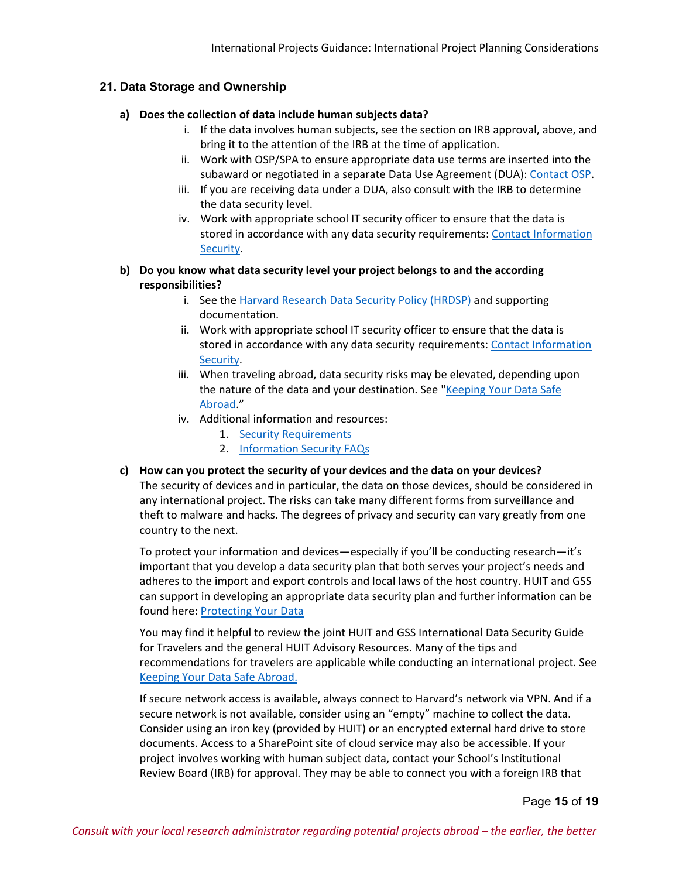# **21. Data Storage and Ownership**

#### **a) Does the collection of data include human subjects data?**

- i. If the data involves human subjects, see the section on IRB approval, above, and bring it to the attention of the IRB at the time of application.
- ii. Work with OSP/SPA to ensure appropriate data use terms are inserted into the subaward or negotiated in a separate Data Use Agreement (DUA): [Contact OSP.](https://osp.finance.harvard.edu/contact-osp)
- iii. If you are receiving data under a DUA, also consult with the IRB to determine the data security level.
- iv. Work with appropriate school IT security officer to ensure that the data is stored in accordance with any data security requirements: [Contact Information](https://security.harvard.edu/contact)  [Security.](https://security.harvard.edu/contact)

### **b) Do you know what data security level your project belongs to and the according responsibilities?**

- i. See the [Harvard Research Data Security Policy \(HRDSP\)](https://vpr.harvard.edu/pages/harvard-research-data-security-policy) and supporting documentation.
- ii. Work with appropriate school IT security officer to ensure that the data is stored in accordance with any data security requirements: [Contact Information](https://security.harvard.edu/contact)  [Security.](https://security.harvard.edu/contact)
- iii. When traveling abroad, data security risks may be elevated, depending upon the nature of the data and your destination. See "Keeping Your Data Safe [Abroad.](https://www.globalsupport.harvard.edu/news-advice/keeping-your-data-safe-abroad)"
- iv. Additional information and resources:
	- 1. [Security Requirements](https://policy.security.harvard.edu/security-requirements)
	- 2. [Information Security FAQs](https://policy.security.harvard.edu/faq)

### **c) How can you protect the security of your devices and the data on your devices?** The security of devices and in particular, the data on those devices, should be considered in any international project. The risks can take many different forms from surveillance and theft to malware and hacks. The degrees of privacy and security can vary greatly from one country to the next.

To protect your information and devices—especially if you'll be conducting research—it's important that you develop a data security plan that both serves your project's needs and adheres to the import and export controls and local laws of the host country. HUIT and GSS can support in developing an appropriate data security plan and further information can be found here: [Protecting Your Data](https://www.globalsupport.harvard.edu/manage-projects/it-data-security)

You may find it helpful to review the joint HUIT and GSS International Data Security Guide for Travelers and the general HUIT Advisory Resources. Many of the tips and recommendations for travelers are applicable while conducting an international project. See [Keeping Your Data Safe Abroad.](https://www.globalsupport.harvard.edu/news-advice/keeping-your-data-safe-abroad)

If secure network access is available, always connect to Harvard's network via VPN. And if a secure network is not available, consider using an "empty" machine to collect the data. Consider using an iron key (provided by HUIT) or an encrypted external hard drive to store documents. Access to a SharePoint site of cloud service may also be accessible. If your project involves working with human subject data, contact your School's Institutional Review Board (IRB) for approval. They may be able to connect you with a foreign IRB that

Page **15** of **19**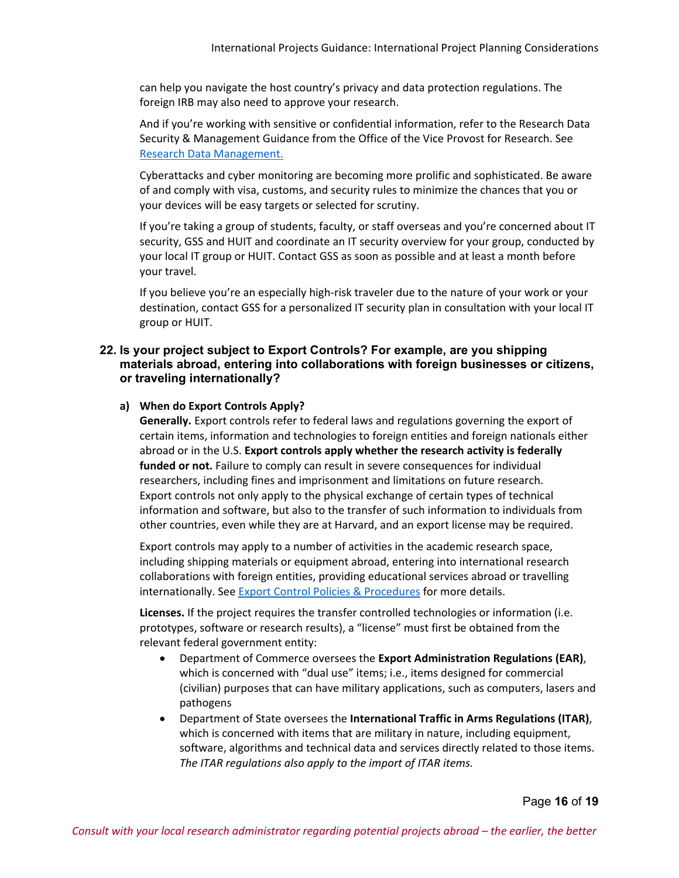can help you navigate the host country's privacy and data protection regulations. The foreign IRB may also need to approve your research.

And if you're working with sensitive or confidential information, refer to the Research Data Security & Management Guidance from the Office of the Vice Provost for Research. See [Research Data Management.](https://research.harvard.edu/2020/06/26/research-data-management/)

Cyberattacks and cyber monitoring are becoming more prolific and sophisticated. Be aware of and comply with visa, customs, and security rules to minimize the chances that you or your devices will be easy targets or selected for scrutiny.

If you're taking a group of students, faculty, or staff overseas and you're concerned about IT security, GSS and HUIT and coordinate an IT security overview for your group, conducted by your local IT group or HUIT. Contact GSS as soon as possible and at least a month before your travel.

If you believe you're an especially high-risk traveler due to the nature of your work or your destination, contact GSS for a personalized IT security plan in consultation with your local IT group or HUIT.

#### **22. Is your project subject to Export Controls? For example, are you shipping materials abroad, entering into collaborations with foreign businesses or citizens, or traveling internationally?**

#### **a) When do Export Controls Apply?**

**Generally.** Export controls refer to federal laws and regulations governing the export of certain items, information and technologies to foreign entities and foreign nationals either abroad or in the U.S. **Export controls apply whether the research activity is federally funded or not.** Failure to comply can result in severe consequences for individual researchers, including fines and imprisonment and limitations on future research. Export controls not only apply to the physical exchange of certain types of technical information and software, but also to the transfer of such information to individuals from other countries, even while they are at Harvard, and an export license may be required.

Export controls may apply to a number of activities in the academic research space, including shipping materials or equipment abroad, entering into international research collaborations with foreign entities, providing educational services abroad or travelling internationally. See [Export Control Policies & Procedures](https://vpr.harvard.edu/pages/export-controls-policies-and-procedures) for more details.

**Licenses.** If the project requires the transfer controlled technologies or information (i.e. prototypes, software or research results), a "license" must first be obtained from the relevant federal government entity:

- Department of Commerce oversees the **Export Administration Regulations (EAR)**, which is concerned with "dual use" items; i.e., items designed for commercial (civilian) purposes that can have military applications, such as computers, lasers and pathogens
- Department of State oversees the **International Traffic in Arms Regulations (ITAR)**, which is concerned with items that are military in nature, including equipment, software, algorithms and technical data and services directly related to those items. *The ITAR regulations also apply to the import of ITAR items.*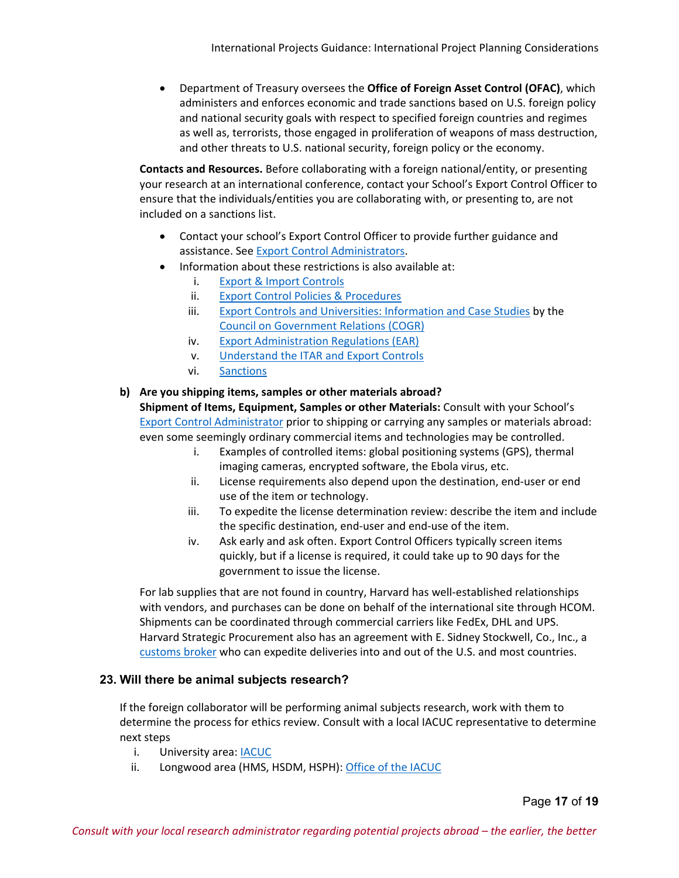• Department of Treasury oversees the **Office of Foreign Asset Control (OFAC)**, which administers and enforces economic and trade sanctions based on U.S. foreign policy and national security goals with respect to specified foreign countries and regimes as well as, terrorists, those engaged in proliferation of weapons of mass destruction, and other threats to U.S. national security, foreign policy or the economy.

**Contacts and Resources.** Before collaborating with a foreign national/entity, or presenting your research at an international conference, contact your School's Export Control Officer to ensure that the individuals/entities you are collaborating with, or presenting to, are not included on a sanctions list.

- Contact your school's Export Control Officer to provide further guidance and assistance. See [Export Control Administrators.](https://research.harvard.edu/2021/04/19/export-controls-policies-and-procedures/#exportadmin)
- Information about these restrictions is also available at:
	- i. [Export & Import Controls](https://www.globalsupport.harvard.edu/manage-projects/exports-imports)
	- ii. [Export Control Policies & Procedures](https://vpr.harvard.edu/pages/export-controls-policies-and-procedures)
	- iii. [Export Controls and Universities: Information and Case Studies](https://www.cogr.edu/sites/default/files/COGR_Brochure_-_Export_Controls_and_Universities_-_Information_and_Case_Studies.pdf) by the [Council on Government Relations \(COGR\)](https://www.cogr.edu/)
	- iv. [Export Administration Regulations \(EAR\)](https://www.bis.doc.gov/index.php/regulations/export-administration-regulations-ear)
	- v. [Understand the ITAR and Export Controls](https://www.pmddtc.state.gov/ddtc_public?id=ddtc_public_portal_itar_landing)
	- vi. [Sanctions](https://www.treasury.gov/resource-center/sanctions/Pages/default.aspx)

#### **b) Are you shipping items, samples or other materials abroad?**

**Shipment of Items, Equipment, Samples or other Materials:** Consult with your School'[s](https://research.harvard.edu/2021/04/19/export-controls-policies-and-procedures/#exportadmin)  [Export Control Administrator](https://research.harvard.edu/2021/04/19/export-controls-policies-and-procedures/#exportadmin) prior to shipping or carrying any samples or materials abroad: even some seemingly ordinary commercial items and technologies may be controlled.

- i. Examples of controlled items: global positioning systems (GPS), thermal imaging cameras, encrypted software, the Ebola virus, etc.
- ii. License requirements also depend upon the destination, end-user or end use of the item or technology.
- iii. To expedite the license determination review: describe the item and include the specific destination, end-user and end-use of the item.
- iv. Ask early and ask often. Export Control Officers typically screen items quickly, but if a license is required, it could take up to 90 days for the government to issue the license.

For lab supplies that are not found in country, Harvard has well-established relationships with vendors, and purchases can be done on behalf of the international site through HCOM. Shipments can be coordinated through commercial carriers like FedEx, DHL and UPS. Harvard Strategic Procurement also has an agreement with E. Sidney Stockwell, Co., Inc., a [customs broker](https://internal.procurement.harvard.edu/customs-broker) who can expedite deliveries into and out of the U.S. and most countries.

# **23. Will there be animal subjects research?**

If the foreign collaborator will be performing animal subjects research, work with them to determine the process for ethics review. Consult with a local IACUC representative to determine next steps

- i. University area: [IACUC](https://research.fas.harvard.edu/iacuc)
- ii. Longwood area (HMS, HSDM, HSPH): [Office of the IACUC](https://hms.harvard.edu/departments/hma-standing-committee-animals)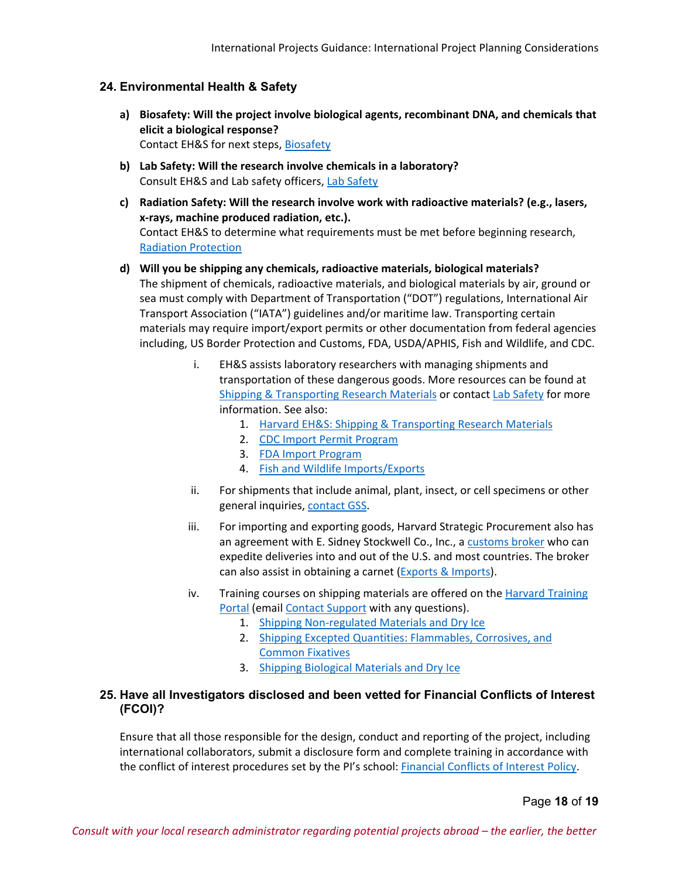### **24. Environmental Health & Safety**

- **a) Biosafety: Will the project involve biological agents, recombinant DNA, and chemicals that elicit a biological response?** Contact EH&S for next steps, [Biosafety](https://www.ehs.harvard.edu/services/biosafety)
- **b) Lab Safety: Will the research involve chemicals in a laboratory?** Consult EH&S and Lab safety officers, [Lab Safety](https://vpr.harvard.edu/lab-safety)
- **c) Radiation Safety: Will the research involve work with radioactive materials? (e.g., lasers, x-rays, machine produced radiation, etc.).** Contact EH&S to determine what requirements must be met before beginning research, [Radiation Protection](https://www.ehs.harvard.edu/services/radiation-protection)
- **d) Will you be shipping any chemicals, radioactive materials, biological materials?** The shipment of chemicals, radioactive materials, and biological materials by air, ground or sea must comply with Department of Transportation ("DOT") regulations, International Air Transport Association ("IATA") guidelines and/or maritime law. Transporting certain materials may require import/export permits or other documentation from federal agencies including, US Border Protection and Customs, FDA, USDA/APHIS, Fish and Wildlife, and CDC.
	- i. EH&S assists laboratory researchers with managing shipments and transportation of these dangerous goods. More resources can be found at [Shipping & Transporting Research Materials](https://www.ehs.harvard.edu/programs/shipping-transporting-research-materials) or contac[t Lab Safety](mailto:lab_safety@harvard.edu) for more information. See also:
		- 1. Harvard [EH&S: Shipping & Transporting Research Materials](https://www.ehs.harvard.edu/programs/shipping-transporting-research-materials)
		- 2. [CDC Import Permit Program](https://www.cdc.gov/cpr/ipp/index.htm)
		- 3. [FDA Import Program](https://www.fda.gov/industry/import-program-food-and-drug-administration-fda)
		- 4. [Fish and Wildlife Imports/Exports](https://www.fws.gov/permits/)
	- ii. For shipments that include animal, plant, insect, or cell specimens or other general inquiries, [contact GSS.](https://www.globalsupport.harvard.edu/about/contact-us)
	- iii. For importing and exporting goods, Harvard Strategic Procurement also has an agreement with E. Sidney Stockwell Co., Inc., [a customs broker](https://internal.procurement.harvard.edu/customs-broker) who can expedite deliveries into and out of the U.S. and most countries. The broker can also assist in obtaining a carnet [\(Exports & Imports\)](https://www.globalsupport.harvard.edu/manage-projects/exports-imports).
	- iv. Training courses on shipping materials are offered on the Harvard Training [Portal](https://trainingportal.harvard.edu/Saba/Web_spf/NA1PRD0068/app/shared;spf-url=common%2Fsearchresults%2Fshipping%2FALL) (emai[l Contact Support](mailto:trainingportalhelp@harvard.edu) with any questions).
		- 1. [Shipping Non-regulated Materials and Dry Ice](https://trainingportal.harvard.edu/Saba/Web_spf/NA1PRD0068/app/shared;spf-url=common/ledetail/cours000000000003259)
		- 2. [Shipping Excepted Quantities: Flammables, Corrosives, and](https://trainingportal.harvard.edu/Saba/Web_spf/NA1PRD0068/app/shared;spf-url=common/ledetail/cours000000000003257)  [Common Fixatives](https://trainingportal.harvard.edu/Saba/Web_spf/NA1PRD0068/app/shared;spf-url=common/ledetail/cours000000000003257)
		- 3. [Shipping Biological Materials and Dry Ice](https://trainingportal.harvard.edu/Saba/Web_spf/NA1PRD0068/app/shared;spf-url=common/ledetail/cours000000000003256)

#### **25. Have all Investigators disclosed and been vetted for Financial Conflicts of Interest (FCOI)?**

Ensure that all those responsible for the design, conduct and reporting of the project, including international collaborators, submit a disclosure form and complete training in accordance with the conflict of interest procedures set by the PI's school: [Financial Conflicts of Interest Policy.](https://vpr.harvard.edu/pages/financial-conflict-interest-policy)